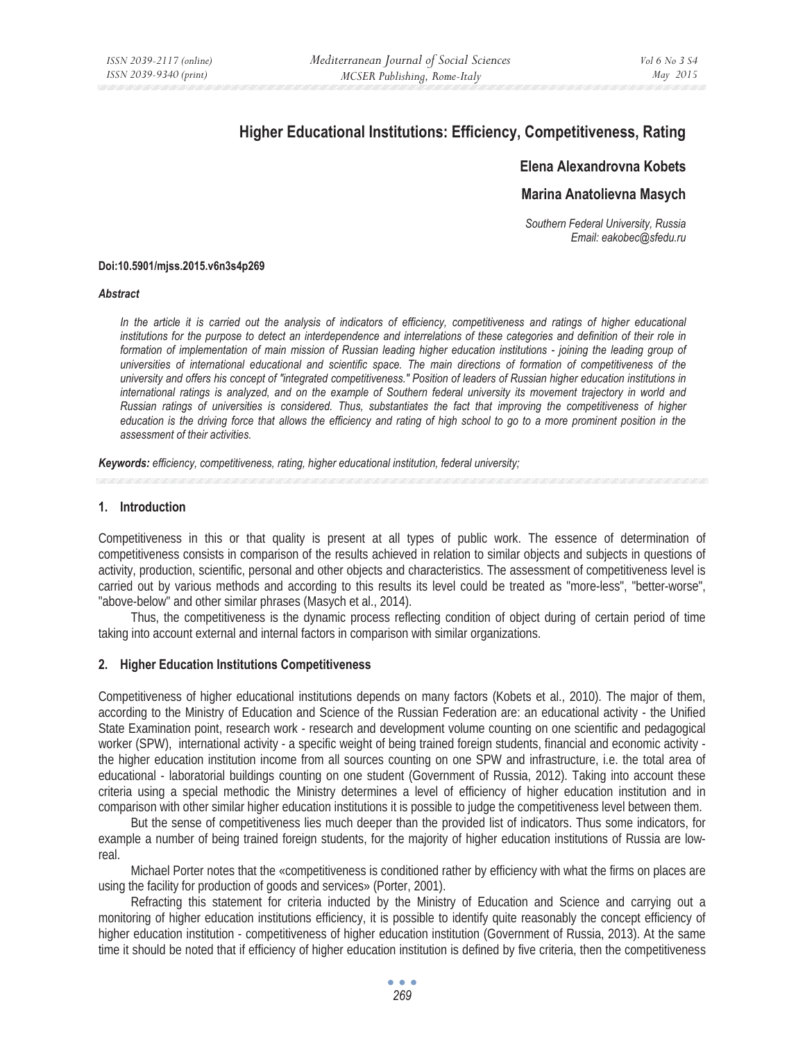# **Higher Educational Institutions: Efficiency, Competitiveness, Rating**

# **Elena Alexandrovna Kobets**

# **Marina Anatolievna Masych**

*Southern Federal University, Russia Email: eakobec@sfedu.ru* 

#### **Doi:10.5901/mjss.2015.v6n3s4p269**

#### *Abstract*

In the article it is carried out the analysis of indicators of efficiency, competitiveness and ratings of higher educational *institutions for the purpose to detect an interdependence and interrelations of these categories and definition of their role in*  formation of implementation of main mission of Russian leading higher education institutions - joining the leading group of *universities of international educational and scientific space. The main directions of formation of competitiveness of the university and offers his concept of "integrated competitiveness." Position of leaders of Russian higher education institutions in international ratings is analyzed, and on the example of Southern federal university its movement trajectory in world and Russian ratings of universities is considered. Thus, substantiates the fact that improving the competitiveness of higher education is the driving force that allows the efficiency and rating of high school to go to a more prominent position in the assessment of their activities.* 

*Keywords: efficiency, competitiveness, rating, higher educational institution, federal university;*

## **1. Introduction**

Competitiveness in this or that quality is present at all types of public work. The essence of determination of competitiveness consists in comparison of the results achieved in relation to similar objects and subjects in questions of activity, production, scientific, personal and other objects and characteristics. The assessment of competitiveness level is carried out by various methods and according to this results its level could be treated as "more-less", "better-worse", "above-below" and other similar phrases (Masych et al., 2014).

Thus, the competitiveness is the dynamic process reflecting condition of object during of certain period of time taking into account external and internal factors in comparison with similar organizations.

#### **2. Higher Education Institutions Competitiveness**

Competitiveness of higher educational institutions depends on many factors (Kobets et al., 2010). The major of them, according to the Ministry of Education and Science of the Russian Federation are: an educational activity - the Unified State Examination point, research work - research and development volume counting on one scientific and pedagogical worker (SPW), international activity - a specific weight of being trained foreign students, financial and economic activity the higher education institution income from all sources counting on one SPW and infrastructure, i.e. the total area of educational - laboratorial buildings counting on one student (Government of Russia, 2012). Taking into account these criteria using a special methodic the Ministry determines a level of efficiency of higher education institution and in comparison with other similar higher education institutions it is possible to judge the competitiveness level between them.

But the sense of competitiveness lies much deeper than the provided list of indicators. Thus some indicators, for example a number of being trained foreign students, for the majority of higher education institutions of Russia are lowreal.

Michael Porter notes that the «competitiveness is conditioned rather by efficiency with what the firms on places are using the facility for production of goods and services» (Porter, 2001).

Refracting this statement for criteria inducted by the Ministry of Education and Science and carrying out a monitoring of higher education institutions efficiency, it is possible to identify quite reasonably the concept efficiency of higher education institution - competitiveness of higher education institution (Government of Russia, 2013). At the same time it should be noted that if efficiency of higher education institution is defined by five criteria, then the competitiveness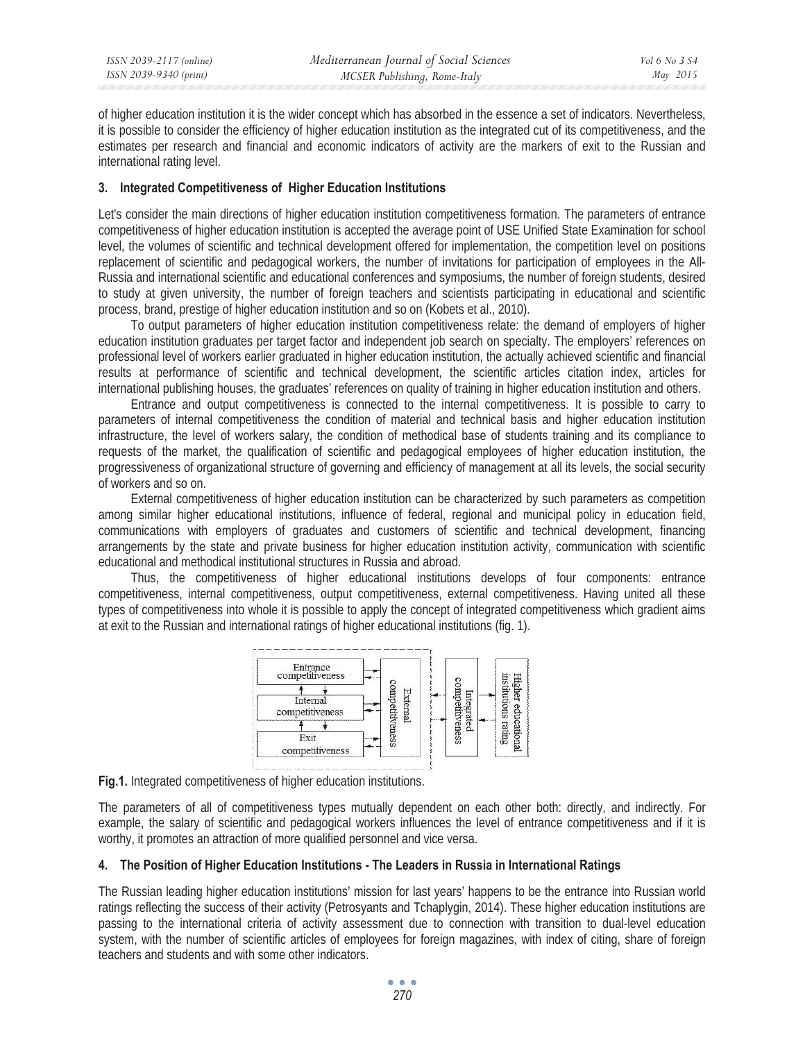| ISSN 2039-2117 (online) | Mediterranean Journal of Social Sciences | Vol 6 No 3 S4 |
|-------------------------|------------------------------------------|---------------|
| ISSN 2039-9340 (print)  | MCSER Publishing, Rome-Italy             | May 2015      |

of higher education institution it is the wider concept which has absorbed in the essence a set of indicators. Nevertheless, it is possible to consider the efficiency of higher education institution as the integrated cut of its competitiveness, and the estimates per research and financial and economic indicators of activity are the markers of exit to the Russian and international rating level.

# **3. Integrated Competitiveness of Higher Education Institutions**

Let's consider the main directions of higher education institution competitiveness formation. The parameters of entrance competitiveness of higher education institution is accepted the average point of USE Unified State Examination for school level, the volumes of scientific and technical development offered for implementation, the competition level on positions replacement of scientific and pedagogical workers, the number of invitations for participation of employees in the All-Russia and international scientific and educational conferences and symposiums, the number of foreign students, desired to study at given university, the number of foreign teachers and scientists participating in educational and scientific process, brand, prestige of higher education institution and so on (Kobets et al., 2010).

To output parameters of higher education institution competitiveness relate: the demand of employers of higher education institution graduates per target factor and independent job search on specialty. The employers' references on professional level of workers earlier graduated in higher education institution, the actually achieved scientific and financial results at performance of scientific and technical development, the scientific articles citation index, articles for international publishing houses, the graduates' references on quality of training in higher education institution and others.

Entrance and output competitiveness is connected to the internal competitiveness. It is possible to carry to parameters of internal competitiveness the condition of material and technical basis and higher education institution infrastructure, the level of workers salary, the condition of methodical base of students training and its compliance to requests of the market, the qualification of scientific and pedagogical employees of higher education institution, the progressiveness of organizational structure of governing and efficiency of management at all its levels, the social security of workers and so on.

External competitiveness of higher education institution can be characterized by such parameters as competition among similar higher educational institutions, influence of federal, regional and municipal policy in education field, communications with employers of graduates and customers of scientific and technical development, financing arrangements by the state and private business for higher education institution activity, communication with scientific educational and methodical institutional structures in Russia and abroad.

Thus, the competitiveness of higher educational institutions develops of four components: entrance competitiveness, internal competitiveness, output competitiveness, external competitiveness. Having united all these types of competitiveness into whole it is possible to apply the concept of integrated competitiveness which gradient aims at exit to the Russian and international ratings of higher educational institutions (fig. 1).



**Fig.1.** Integrated competitiveness of higher education institutions.

The parameters of all of competitiveness types mutually dependent on each other both: directly, and indirectly. For example, the salary of scientific and pedagogical workers influences the level of entrance competitiveness and if it is worthy, it promotes an attraction of more qualified personnel and vice versa.

## **4. The Position of Higher Education Institutions - The Leaders in Russia in International Ratings**

The Russian leading higher education institutions' mission for last years' happens to be the entrance into Russian world ratings reflecting the success of their activity (Petrosyants and Tchaplygin, 2014). These higher education institutions are passing to the international criteria of activity assessment due to connection with transition to dual-level education system, with the number of scientific articles of employees for foreign magazines, with index of citing, share of foreign teachers and students and with some other indicators.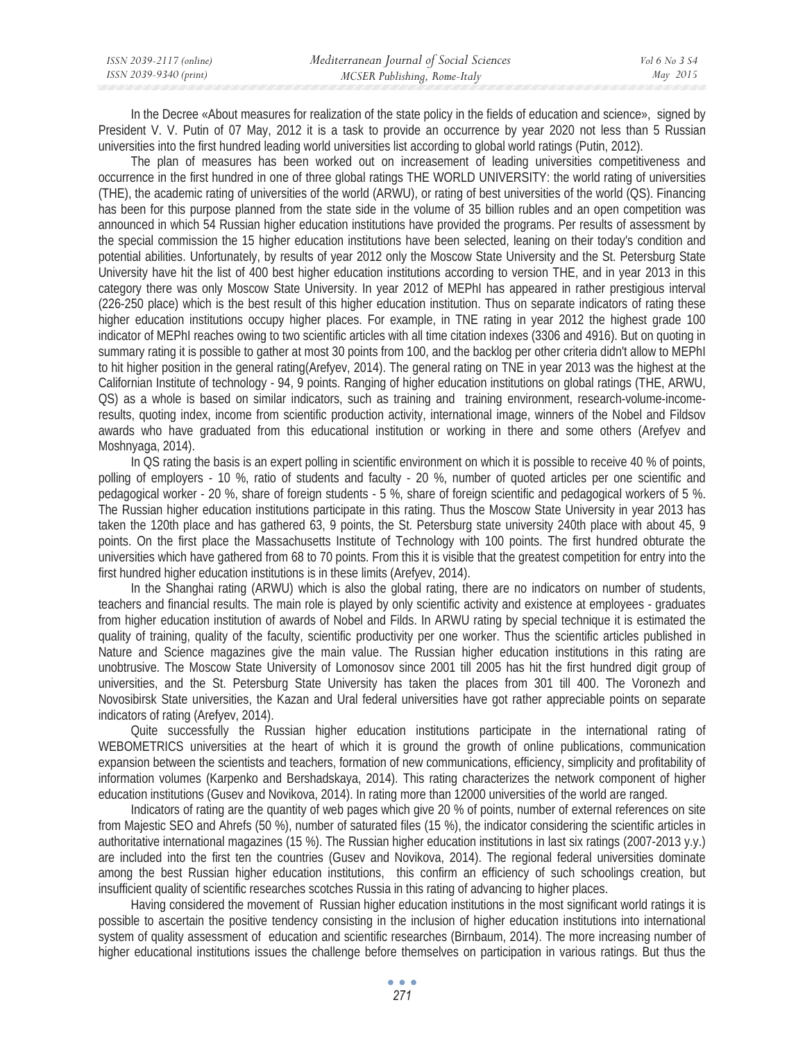| ISSN 2039-2117 (online) | Mediterranean Journal of Social Sciences | Vol 6 No 3 S4 |
|-------------------------|------------------------------------------|---------------|
| ISSN 2039-9340 (print)  | MCSER Publishing, Rome-Italy             | May 2015      |

In the Decree «About measures for realization of the state policy in the fields of education and science», signed by President V. V. Putin of 07 May, 2012 it is a task to provide an occurrence by year 2020 not less than 5 Russian universities into the first hundred leading world universities list according to global world ratings (Putin, 2012).

The plan of measures has been worked out on increasement of leading universities competitiveness and occurrence in the first hundred in one of three global ratings THE WORLD UNIVERSITY: the world rating of universities (THE), the academic rating of universities of the world (ARWU), or rating of best universities of the world (QS). Financing has been for this purpose planned from the state side in the volume of 35 billion rubles and an open competition was announced in which 54 Russian higher education institutions have provided the programs. Per results of assessment by the special commission the 15 higher education institutions have been selected, leaning on their today's condition and potential abilities. Unfortunately, by results of year 2012 only the Moscow State University and the St. Petersburg State University have hit the list of 400 best higher education institutions according to version THE, and in year 2013 in this category there was only Moscow State University. In year 2012 of MEPhI has appeared in rather prestigious interval (226-250 place) which is the best result of this higher education institution. Thus on separate indicators of rating these higher education institutions occupy higher places. For example, in TNE rating in year 2012 the highest grade 100 indicator of MEPhI reaches owing to two scientific articles with all time citation indexes (3306 and 4916). But on quoting in summary rating it is possible to gather at most 30 points from 100, and the backlog per other criteria didn't allow to MEPhI to hit higher position in the general rating(Arefyev, 2014). The general rating on TNE in year 2013 was the highest at the Californian Institute of technology - 94, 9 points. Ranging of higher education institutions on global ratings (THE, ARWU, QS) as a whole is based on similar indicators, such as training and training environment, research-volume-incomeresults, quoting index, income from scientific production activity, international image, winners of the Nobel and Fildsov awards who have graduated from this educational institution or working in there and some others (Arefyev and Moshnyaga, 2014).

In QS rating the basis is an expert polling in scientific environment on which it is possible to receive 40 % of points, polling of employers - 10 %, ratio of students and faculty - 20 %, number of quoted articles per one scientific and pedagogical worker - 20 %, share of foreign students - 5 %, share of foreign scientific and pedagogical workers of 5 %. The Russian higher education institutions participate in this rating. Thus the Moscow State University in year 2013 has taken the 120th place and has gathered 63, 9 points, the St. Petersburg state university 240th place with about 45, 9 points. On the first place the Massachusetts Institute of Technology with 100 points. The first hundred obturate the universities which have gathered from 68 to 70 points. From this it is visible that the greatest competition for entry into the first hundred higher education institutions is in these limits (Arefyev, 2014).

In the Shanghai rating (ARWU) which is also the global rating, there are no indicators on number of students, teachers and financial results. The main role is played by only scientific activity and existence at employees - graduates from higher education institution of awards of Nobel and Filds. In ARWU rating by special technique it is estimated the quality of training, quality of the faculty, scientific productivity per one worker. Thus the scientific articles published in Nature and Science magazines give the main value. The Russian higher education institutions in this rating are unobtrusive. The Moscow State University of Lomonosov since 2001 till 2005 has hit the first hundred digit group of universities, and the St. Petersburg State University has taken the places from 301 till 400. The Voronezh and Novosibirsk State universities, the Kazan and Ural federal universities have got rather appreciable points on separate indicators of rating (Arefyev, 2014).

Quite successfully the Russian higher education institutions participate in the international rating of WEBOMETRICS universities at the heart of which it is ground the growth of online publications, communication expansion between the scientists and teachers, formation of new communications, efficiency, simplicity and profitability of information volumes (Karpenko and Bershadskaya, 2014). This rating characterizes the network component of higher education institutions (Gusev and Novikova, 2014). In rating more than 12000 universities of the world are ranged.

Indicators of rating are the quantity of web pages which give 20 % of points, number of external references on site from Majestic SEO and Ahrefs (50 %), number of saturated files (15 %), the indicator considering the scientific articles in authoritative international magazines (15 %). The Russian higher education institutions in last six ratings (2007-2013 y.y.) are included into the first ten the countries (Gusev and Novikova, 2014). The regional federal universities dominate among the best Russian higher education institutions, this confirm an efficiency of such schoolings creation, but insufficient quality of scientific researches scotches Russia in this rating of advancing to higher places.

Having considered the movement of Russian higher education institutions in the most significant world ratings it is possible to ascertain the positive tendency consisting in the inclusion of higher education institutions into international system of quality assessment of education and scientific researches (Birnbaum, 2014). The more increasing number of higher educational institutions issues the challenge before themselves on participation in various ratings. But thus the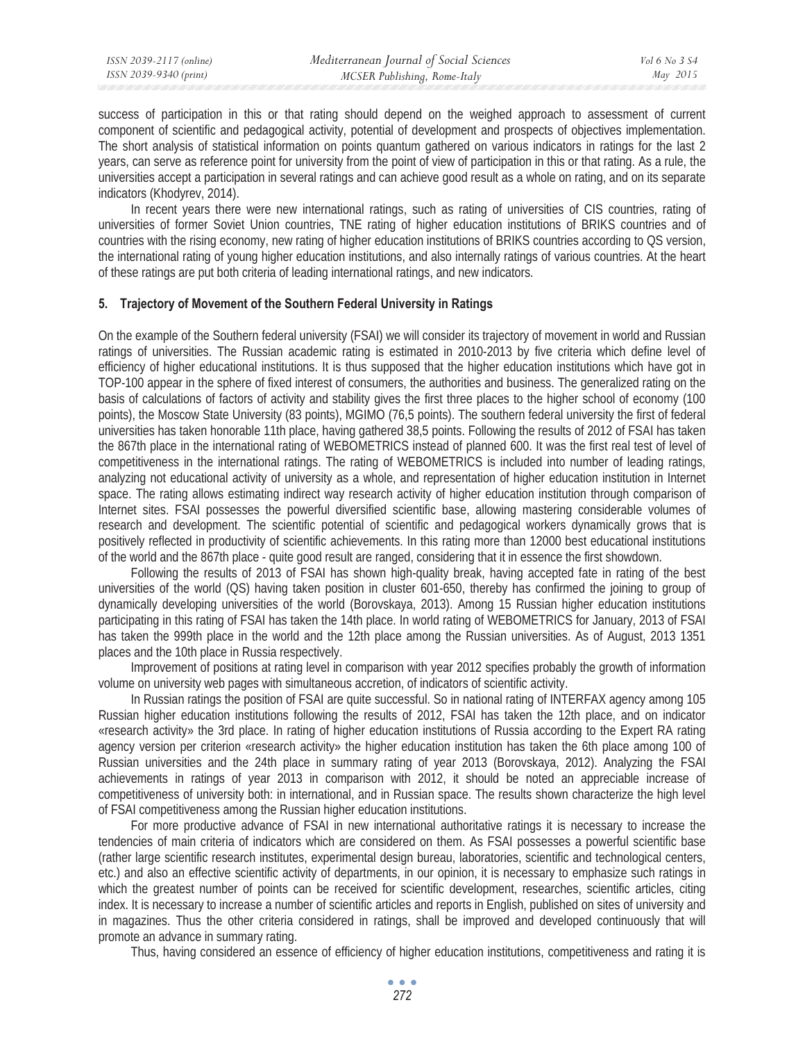success of participation in this or that rating should depend on the weighed approach to assessment of current component of scientific and pedagogical activity, potential of development and prospects of objectives implementation. The short analysis of statistical information on points quantum gathered on various indicators in ratings for the last 2 years, can serve as reference point for university from the point of view of participation in this or that rating. As a rule, the universities accept a participation in several ratings and can achieve good result as a whole on rating, and on its separate indicators (Khodyrev, 2014).

In recent years there were new international ratings, such as rating of universities of CIS countries, rating of universities of former Soviet Union countries, TNE rating of higher education institutions of BRIKS countries and of countries with the rising economy, new rating of higher education institutions of BRIKS countries according to QS version, the international rating of young higher education institutions, and also internally ratings of various countries. At the heart of these ratings are put both criteria of leading international ratings, and new indicators.

## **5. Trajectory of Movement of the Southern Federal University in Ratings**

On the example of the Southern federal university (FSAI) we will consider its trajectory of movement in world and Russian ratings of universities. The Russian academic rating is estimated in 2010-2013 by five criteria which define level of efficiency of higher educational institutions. It is thus supposed that the higher education institutions which have got in TOP-100 appear in the sphere of fixed interest of consumers, the authorities and business. The generalized rating on the basis of calculations of factors of activity and stability gives the first three places to the higher school of economy (100 points), the Moscow State University (83 points), MGIMO (76,5 points). The southern federal university the first of federal universities has taken honorable 11th place, having gathered 38,5 points. Following the results of 2012 of FSAI has taken the 867th place in the international rating of WEBOMETRICS instead of planned 600. It was the first real test of level of competitiveness in the international ratings. The rating of WEBOMETRICS is included into number of leading ratings, analyzing not educational activity of university as a whole, and representation of higher education institution in Internet space. The rating allows estimating indirect way research activity of higher education institution through comparison of Internet sites. FSAI possesses the powerful diversified scientific base, allowing mastering considerable volumes of research and development. The scientific potential of scientific and pedagogical workers dynamically grows that is positively reflected in productivity of scientific achievements. In this rating more than 12000 best educational institutions of the world and the 867th place - quite good result are ranged, considering that it in essence the first showdown.

Following the results of 2013 of FSAI has shown high-quality break, having accepted fate in rating of the best universities of the world (QS) having taken position in cluster 601-650, thereby has confirmed the joining to group of dynamically developing universities of the world (Borovskaya, 2013). Among 15 Russian higher education institutions participating in this rating of FSAI has taken the 14th place. In world rating of WEBOMETRICS for January, 2013 of FSAI has taken the 999th place in the world and the 12th place among the Russian universities. As of August, 2013 1351 places and the 10th place in Russia respectively.

Improvement of positions at rating level in comparison with year 2012 specifies probably the growth of information volume on university web pages with simultaneous accretion, of indicators of scientific activity.

In Russian ratings the position of FSAI are quite successful. So in national rating of INTERFAX agency among 105 Russian higher education institutions following the results of 2012, FSAI has taken the 12th place, and on indicator «research activity» the 3rd place. In rating of higher education institutions of Russia according to the Expert RA rating agency version per criterion «research activity» the higher education institution has taken the 6th place among 100 of Russian universities and the 24th place in summary rating of year 2013 (Borovskaya, 2012). Analyzing the FSAI achievements in ratings of year 2013 in comparison with 2012, it should be noted an appreciable increase of competitiveness of university both: in international, and in Russian space. The results shown characterize the high level of FSAI competitiveness among the Russian higher education institutions.

For more productive advance of FSAI in new international authoritative ratings it is necessary to increase the tendencies of main criteria of indicators which are considered on them. As FSAI possesses a powerful scientific base (rather large scientific research institutes, experimental design bureau, laboratories, scientific and technological centers, etc.) and also an effective scientific activity of departments, in our opinion, it is necessary to emphasize such ratings in which the greatest number of points can be received for scientific development, researches, scientific articles, citing index. It is necessary to increase a number of scientific articles and reports in English, published on sites of university and in magazines. Thus the other criteria considered in ratings, shall be improved and developed continuously that will promote an advance in summary rating.

Thus, having considered an essence of efficiency of higher education institutions, competitiveness and rating it is